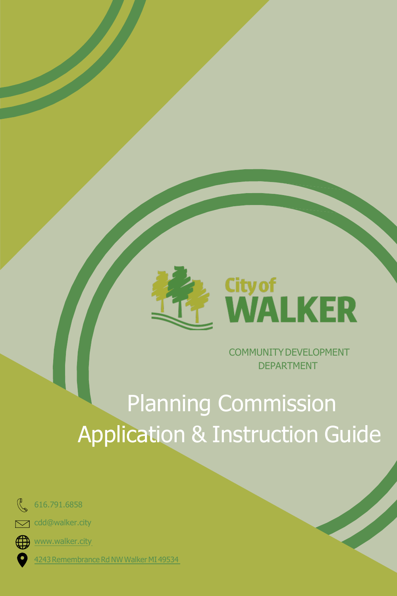

COMMUNITYDEVELOPMENT DEPARTMENT

# Planning Commission Application & Instruction Guide



616.791.6858

[cdd@walker.city](mailto:cdd@walker.city)  $\sum$ 



[www.walker.city](http://www.walker.city/)

4243 Remembrance Rd NW Walker MI 49534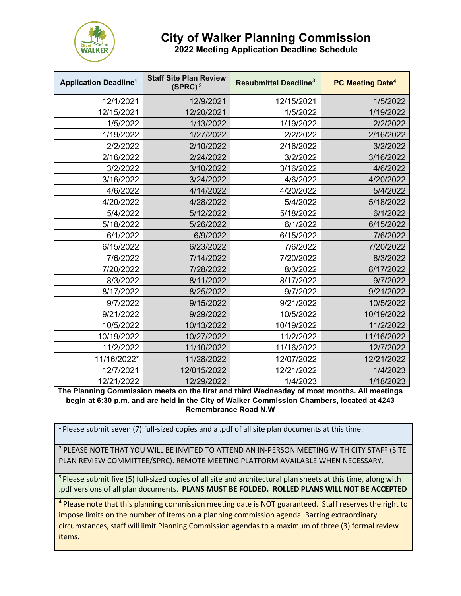

## **City of Walker Planning Commission**

**2022 Meeting Application Deadline Schedule**

| <b>Application Deadline<sup>1</sup></b> | <b>Staff Site Plan Review</b><br>(SPRC) <sup>2</sup> | Resubmittal Deadline <sup>3</sup> | PC Meeting Date <sup>4</sup> |
|-----------------------------------------|------------------------------------------------------|-----------------------------------|------------------------------|
| 12/1/2021                               | 12/9/2021                                            | 12/15/2021                        | 1/5/2022                     |
| 12/15/2021                              | 12/20/2021                                           | 1/5/2022                          | 1/19/2022                    |
| 1/5/2022                                | 1/13/2022                                            | 1/19/2022                         | 2/2/2022                     |
| 1/19/2022                               | 1/27/2022                                            | 2/2/2022                          | 2/16/2022                    |
| 2/2/2022                                | 2/10/2022                                            | 2/16/2022                         | 3/2/2022                     |
| 2/16/2022                               | 2/24/2022                                            | 3/2/2022                          | 3/16/2022                    |
| 3/2/2022                                | 3/10/2022                                            | 3/16/2022                         | 4/6/2022                     |
| 3/16/2022                               | 3/24/2022                                            | 4/6/2022                          | 4/20/2022                    |
| 4/6/2022                                | 4/14/2022                                            | 4/20/2022                         | 5/4/2022                     |
| 4/20/2022                               | 4/28/2022                                            | 5/4/2022                          | 5/18/2022                    |
| 5/4/2022                                | 5/12/2022                                            | 5/18/2022                         | 6/1/2022                     |
| 5/18/2022                               | 5/26/2022                                            | 6/1/2022                          | 6/15/2022                    |
| 6/1/2022                                | 6/9/2022                                             | 6/15/2022                         | 7/6/2022                     |
| 6/15/2022                               | 6/23/2022                                            | 7/6/2022                          | 7/20/2022                    |
| 7/6/2022                                | 7/14/2022                                            | 7/20/2022                         | 8/3/2022                     |
| 7/20/2022                               | 7/28/2022                                            | 8/3/2022                          | 8/17/2022                    |
| 8/3/2022                                | 8/11/2022                                            | 8/17/2022                         | 9/7/2022                     |
| 8/17/2022                               | 8/25/2022                                            | 9/7/2022                          | 9/21/2022                    |
| 9/7/2022                                | 9/15/2022                                            | 9/21/2022                         | 10/5/2022                    |
| 9/21/2022                               | 9/29/2022                                            | 10/5/2022                         | 10/19/2022                   |
| 10/5/2022                               | 10/13/2022                                           | 10/19/2022                        | 11/2/2022                    |
| 10/19/2022                              | 10/27/2022                                           | 11/2/2022                         | 11/16/2022                   |
| 11/2/2022                               | 11/10/2022                                           | 11/16/2022                        | 12/7/2022                    |
| 11/16/2022*                             | 11/28/2022                                           | 12/07/2022                        | 12/21/2022                   |
| 12/7/2021                               | 12/015/2022                                          | 12/21/2022                        | 1/4/2023                     |
| 12/21/2022                              | 12/29/2022                                           | 1/4/2023                          | 1/18/2023                    |

**The Planning Commission meets on the first and third Wednesday of most months. All meetings begin at 6:30 p.m. and are held in the City of Walker Commission Chambers, located at 4243 Remembrance Road N.W**

<sup>1</sup> Please submit seven (7) full-sized copies and a .pdf of all site plan documents at this time.

<sup>2</sup> PLEASE NOTE THAT YOU WILL BE INVITED TO ATTEND AN IN-PERSON MEETING WITH CITY STAFF (SITE PLAN REVIEW COMMITTEE/SPRC). REMOTE MEETING PLATFORM AVAILABLE WHEN NECESSARY.

<sup>3</sup> Please submit five (5) full-sized copies of all site and architectural plan sheets at this time, along with .pdf versions of all plan documents. **PLANS MUST BE FOLDED. ROLLED PLANS WILL NOT BE ACCEPTED**

<sup>4</sup> Please note that this planning commission meeting date is NOT guaranteed. Staff reserves the right to impose limits on the number of items on a planning commission agenda. Barring extraordinary circumstances, staff will limit Planning Commission agendas to a maximum of three (3) formal review items.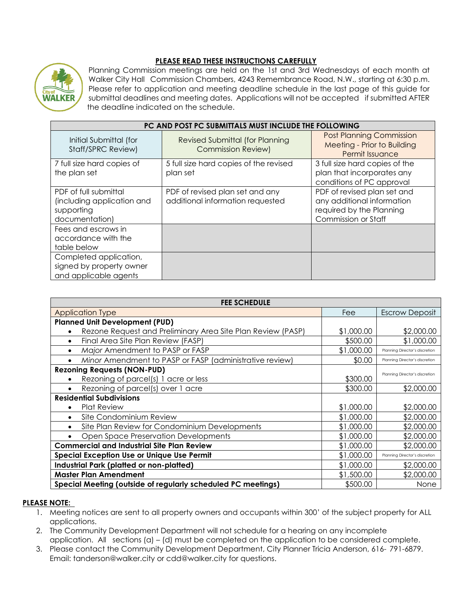#### **PLEASE READ THESE INSTRUCTIONS CAREFULLY**



Planning Commission meetings are held on the 1st and 3rd Wednesdays of each month at Walker City Hall Commission Chambers, 4243 Remembrance Road, N.W., starting at 6:30 p.m. Please refer to application and meeting deadline schedule in the last page of this guide for submittal deadlines and meeting dates. Applications will not be accepted if submitted AFTER the deadline indicated on the schedule.

| PC AND POST PC SUBMITTALS MUST INCLUDE THE FOLLOWING                                |                                                                     |                                                                                                              |  |
|-------------------------------------------------------------------------------------|---------------------------------------------------------------------|--------------------------------------------------------------------------------------------------------------|--|
| Initial Submittal (for<br>Staff/SPRC Review)                                        | <b>Revised Submittal (for Planning</b><br><b>Commission Review)</b> | <b>Post Planning Commission</b><br><b>Meeting - Prior to Building</b><br>Permit Issuance                     |  |
| 7 full size hard copies of<br>the plan set                                          | 5 full size hard copies of the revised<br>plan set                  | 3 full size hard copies of the<br>plan that incorporates any<br>conditions of PC approval                    |  |
| PDF of full submittal<br>(including application and<br>supporting<br>documentation) | PDF of revised plan set and any<br>additional information requested | PDF of revised plan set and<br>any additional information<br>required by the Planning<br>Commission or Staff |  |
| Fees and escrows in<br>accordance with the<br>table below                           |                                                                     |                                                                                                              |  |
| Completed application,<br>signed by property owner<br>and applicable agents         |                                                                     |                                                                                                              |  |

| <b>FEE SCHEDULE</b>                                          |            |                                |  |
|--------------------------------------------------------------|------------|--------------------------------|--|
| <b>Application Type</b>                                      | Fee        | <b>Escrow Deposit</b>          |  |
| <b>Planned Unit Development (PUD)</b>                        |            |                                |  |
| Rezone Request and Preliminary Area Site Plan Review (PASP)  | \$1,000.00 | \$2,000.00                     |  |
| Final Area Site Plan Review (FASP)<br>$\bullet$              | \$500.00   | \$1,000.00                     |  |
| Major Amendment to PASP or FASP                              | \$1,000.00 | Planning Director's discretion |  |
| Minor Amendment to PASP or FASP (administrative review)      | \$0.00     | Planning Director's discretion |  |
| <b>Rezoning Requests (NON-PUD)</b>                           |            | Planning Director's discretion |  |
| Rezoning of parcel(s) 1 acre or less                         | \$300.00   |                                |  |
| Rezoning of parcel(s) over 1 acre                            | \$300.00   | \$2,000.00                     |  |
| <b>Residential Subdivisions</b>                              |            |                                |  |
| <b>Plat Review</b>                                           | \$1,000.00 | \$2,000.00                     |  |
| Site Condominium Review<br>$\bullet$                         | \$1,000.00 | \$2,000.00                     |  |
| Site Plan Review for Condominium Developments<br>$\bullet$   | \$1,000.00 | \$2,000.00                     |  |
| Open Space Preservation Developments                         | \$1,000.00 | \$2,000.00                     |  |
| <b>Commercial and Industrial Site Plan Review</b>            | \$1,000.00 | \$2,000.00                     |  |
| <b>Special Exception Use or Unique Use Permit</b>            | \$1,000.00 | Planning Director's discretion |  |
| Industrial Park (platted or non-platted)                     | \$1,000.00 | \$2,000.00                     |  |
| <b>Master Plan Amendment</b>                                 | \$1,500.00 | \$2,000.00                     |  |
| Special Meeting (outside of regularly scheduled PC meetings) | \$500.00   | None                           |  |

#### **PLEASE NOTE:**

- 1. Meeting notices are sent to all property owners and occupants within 300' of the subject property for ALL applications.
- 2. The Community Development Department will not schedule for a hearing on any incomplete application. All sections (a) – (d) must be completed on the application to be considered complete.
- 3. Please contact the Community Development Department, City Planner Tricia Anderson, 616- [791-6879.](mailto:tanderson@walker.city) [Email: tanderson@walker.city](mailto:tanderson@walker.city) o[r cdd@walker.city](mailto:cdd@walker.city) for questions.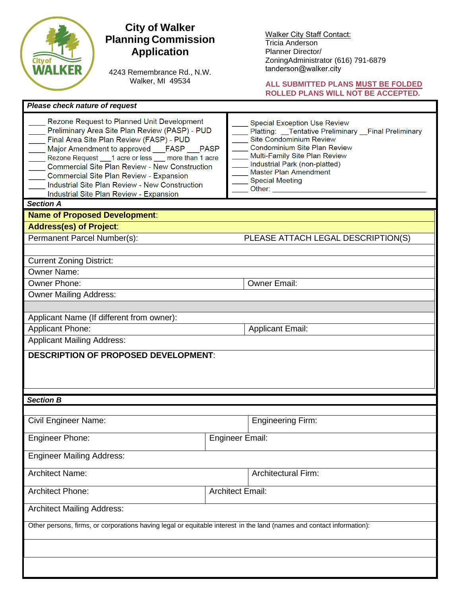

### **City of Walker Planning Commission Application**

4243 Remembrance Rd., N.W. Walker, MI 49534

Walker [City Staff Contact](mailto:cdd@walker.city): Tricia Anderson Planner Director/ ZoningAdministrator (616) 791-6879 tanderson@walker.city

#### **ALL SUBMITTED PLANS MUST BE FOLDED ROLLED PLANS WILL NOT BE ACCEPTED.**

1

| Please check nature of request                                                                                                                                                                                                                                                                                                                                                                                                                                  |                                                                                                                                                                                                                                                                                                        |  |  |
|-----------------------------------------------------------------------------------------------------------------------------------------------------------------------------------------------------------------------------------------------------------------------------------------------------------------------------------------------------------------------------------------------------------------------------------------------------------------|--------------------------------------------------------------------------------------------------------------------------------------------------------------------------------------------------------------------------------------------------------------------------------------------------------|--|--|
| Rezone Request to Planned Unit Development<br>Preliminary Area Site Plan Review (PASP) - PUD<br>Final Area Site Plan Review (FASP) - PUD<br>Major Amendment to approved FASP PASP<br>Rezone Request ___1 acre or less ___ more than 1 acre<br><b>Commercial Site Plan Review - New Construction</b><br>Commercial Site Plan Review - Expansion<br>Industrial Site Plan Review - New Construction<br>Industrial Site Plan Review - Expansion<br><b>Section A</b> | <b>Special Exception Use Review</b><br>Platting: __Tentative Preliminary __Final Preliminary<br>Site Condominium Review<br>Condominium Site Plan Review<br>Multi-Family Site Plan Review<br>Industrial Park (non-platted)<br><b>Master Plan Amendment</b><br><b>Special Meeting</b><br>Other: ________ |  |  |
| <b>Name of Proposed Development:</b>                                                                                                                                                                                                                                                                                                                                                                                                                            |                                                                                                                                                                                                                                                                                                        |  |  |
| <b>Address(es) of Project:</b>                                                                                                                                                                                                                                                                                                                                                                                                                                  |                                                                                                                                                                                                                                                                                                        |  |  |
| Permanent Parcel Number(s):                                                                                                                                                                                                                                                                                                                                                                                                                                     | PLEASE ATTACH LEGAL DESCRIPTION(S)                                                                                                                                                                                                                                                                     |  |  |
|                                                                                                                                                                                                                                                                                                                                                                                                                                                                 |                                                                                                                                                                                                                                                                                                        |  |  |
| <b>Current Zoning District:</b>                                                                                                                                                                                                                                                                                                                                                                                                                                 |                                                                                                                                                                                                                                                                                                        |  |  |
| <b>Owner Name:</b>                                                                                                                                                                                                                                                                                                                                                                                                                                              |                                                                                                                                                                                                                                                                                                        |  |  |
| Owner Phone:                                                                                                                                                                                                                                                                                                                                                                                                                                                    | <b>Owner Email:</b>                                                                                                                                                                                                                                                                                    |  |  |
| Owner Mailing Address:                                                                                                                                                                                                                                                                                                                                                                                                                                          |                                                                                                                                                                                                                                                                                                        |  |  |
|                                                                                                                                                                                                                                                                                                                                                                                                                                                                 |                                                                                                                                                                                                                                                                                                        |  |  |
| Applicant Name (If different from owner):                                                                                                                                                                                                                                                                                                                                                                                                                       |                                                                                                                                                                                                                                                                                                        |  |  |
| <b>Applicant Phone:</b>                                                                                                                                                                                                                                                                                                                                                                                                                                         | <b>Applicant Email:</b>                                                                                                                                                                                                                                                                                |  |  |
| <b>Applicant Mailing Address:</b>                                                                                                                                                                                                                                                                                                                                                                                                                               |                                                                                                                                                                                                                                                                                                        |  |  |
| <b>DESCRIPTION OF PROPOSED DEVELOPMENT:</b>                                                                                                                                                                                                                                                                                                                                                                                                                     |                                                                                                                                                                                                                                                                                                        |  |  |
|                                                                                                                                                                                                                                                                                                                                                                                                                                                                 |                                                                                                                                                                                                                                                                                                        |  |  |
| <b>Section B</b>                                                                                                                                                                                                                                                                                                                                                                                                                                                |                                                                                                                                                                                                                                                                                                        |  |  |
|                                                                                                                                                                                                                                                                                                                                                                                                                                                                 |                                                                                                                                                                                                                                                                                                        |  |  |
| <b>Civil Engineer Name:</b>                                                                                                                                                                                                                                                                                                                                                                                                                                     | <b>Engineering Firm:</b>                                                                                                                                                                                                                                                                               |  |  |
| <b>Engineer Phone:</b>                                                                                                                                                                                                                                                                                                                                                                                                                                          | Engineer Email:                                                                                                                                                                                                                                                                                        |  |  |
| <b>Engineer Mailing Address:</b>                                                                                                                                                                                                                                                                                                                                                                                                                                |                                                                                                                                                                                                                                                                                                        |  |  |
| <b>Architect Name:</b>                                                                                                                                                                                                                                                                                                                                                                                                                                          | <b>Architectural Firm:</b>                                                                                                                                                                                                                                                                             |  |  |
| <b>Architect Phone:</b>                                                                                                                                                                                                                                                                                                                                                                                                                                         | <b>Architect Email:</b>                                                                                                                                                                                                                                                                                |  |  |
| <b>Architect Mailing Address:</b>                                                                                                                                                                                                                                                                                                                                                                                                                               |                                                                                                                                                                                                                                                                                                        |  |  |
| Other persons, firms, or corporations having legal or equitable interest in the land (names and contact information):                                                                                                                                                                                                                                                                                                                                           |                                                                                                                                                                                                                                                                                                        |  |  |
|                                                                                                                                                                                                                                                                                                                                                                                                                                                                 |                                                                                                                                                                                                                                                                                                        |  |  |
|                                                                                                                                                                                                                                                                                                                                                                                                                                                                 |                                                                                                                                                                                                                                                                                                        |  |  |
|                                                                                                                                                                                                                                                                                                                                                                                                                                                                 |                                                                                                                                                                                                                                                                                                        |  |  |